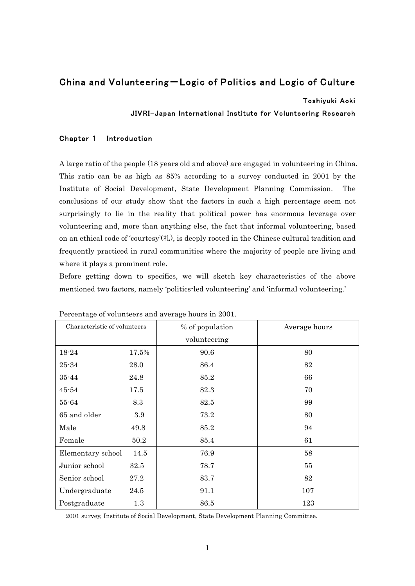# China and Volunteering – Logic of Politics and Logic of Culture

## Toshiyuki Aoki

# JIVRI-Japan International Institute for Volunteering Research

# Chapter 1 Introduction

A large ratio of the people (18 years old and above) are engaged in volunteering in China. This ratio can be as high as 85% according to a survey conducted in 2001 by the Institute of Social Development, State Development Planning Commission. The conclusions of our study show that the factors in such a high percentage seem not surprisingly to lie in the reality that political power has enormous leverage over volunteering and, more than anything else, the fact that informal volunteering, based on an ethical code of 'courtesy'(礼), is deeply rooted in the Chinese cultural tradition and frequently practiced in rural communities where the majority of people are living and where it plays a prominent role.

Before getting down to specifics, we will sketch key characteristics of the above mentioned two factors, namely 'politics-led volunteering' and 'informal volunteering.'

| Characteristic of volunteers |       | % of population | Average hours |
|------------------------------|-------|-----------------|---------------|
|                              |       | volunteering    |               |
| 18-24                        | 17.5% | 90.6            | 80            |
| $25 - 34$                    | 28.0  | 86.4            | 82            |
| $35 - 44$                    | 24.8  | 85.2            | 66            |
| $45 - 54$                    | 17.5  | 82.3            | 70            |
| 55-64                        | 8.3   | 82.5            | 99            |
| 65 and older                 | 3.9   | 73.2            | 80            |
| Male                         | 49.8  | 85.2            | 94            |
| Female                       | 50.2  | 85.4            | 61            |
| Elementary school            | 14.5  | 76.9            | 58            |
| Junior school                | 32.5  | 78.7            | 55            |
| Senior school                | 27.2  | 83.7            | 82            |
| Undergraduate                | 24.5  | 91.1            | 107           |
| Postgraduate                 | 1.3   | 86.5            | 123           |

Percentage of volunteers and average hours in 2001.

2001 survey, Institute of Social Development, State Development Planning Committee.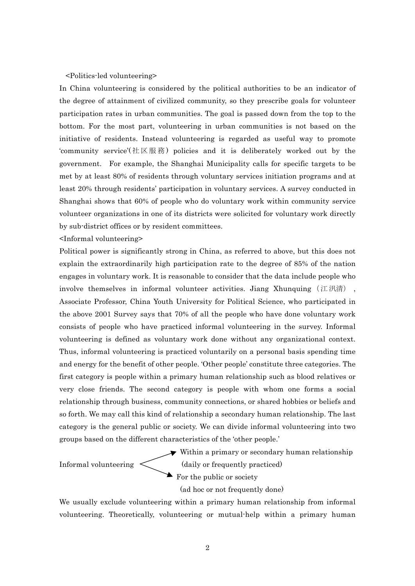## <Politics-led volunteering>

In China volunteering is considered by the political authorities to be an indicator of the degree of attainment of civilized community, so they prescribe goals for volunteer participation rates in urban communities. The goal is passed down from the top to the bottom. For the most part, volunteering in urban communities is not based on the initiative of residents. Instead volunteering is regarded as useful way to promote 'community service'(社区服務) policies and it is deliberately worked out by the government. For example, the Shanghai Municipality calls for specific targets to be met by at least 80% of residents through voluntary services initiation programs and at least 20% through residents' participation in voluntary services. A survey conducted in Shanghai shows that 60% of people who do voluntary work within community service volunteer organizations in one of its districts were solicited for voluntary work directly by sub-district offices or by resident committees.

<Informal volunteering>

Political power is significantly strong in China, as referred to above, but this does not explain the extraordinarily high participation rate to the degree of 85% of the nation engages in voluntary work. It is reasonable to consider that the data include people who involve themselves in informal volunteer activities. Jiang Xhunquing (江汛清) Associate Professor, China Youth University for Political Science, who participated in the above 2001 Survey says that 70% of all the people who have done voluntary work consists of people who have practiced informal volunteering in the survey. Informal volunteering is defined as voluntary work done without any organizational context. Thus, informal volunteering is practiced voluntarily on a personal basis spending time and energy for the benefit of other people. 'Other people' constitute three categories. The first category is people within a primary human relationship such as blood relatives or very close friends. The second category is people with whom one forms a social relationship through business, community connections, or shared hobbies or beliefs and so forth. We may call this kind of relationship a secondary human relationship. The last category is the general public or society. We can divide informal volunteering into two groups based on the different characteristics of the 'other people.'

Within a primary or secondary human relationship Informal volunteering  $\langle$  (daily or frequently practiced)

 $\blacktriangleright$  For the public or society

(ad hoc or not frequently done)

We usually exclude volunteering within a primary human relationship from informal volunteering. Theoretically, volunteering or mutual-help within a primary human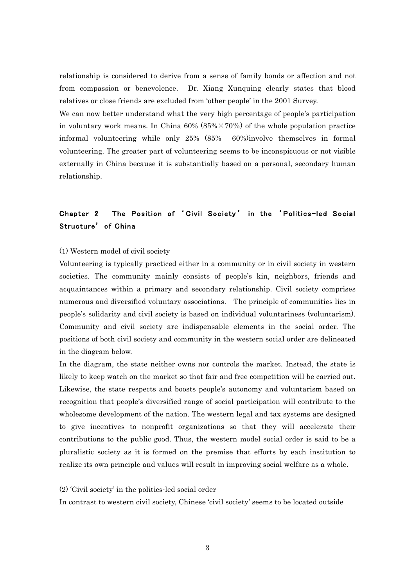relationship is considered to derive from a sense of family bonds or affection and not from compassion or benevolence. Dr. Xiang Xunquing clearly states that blood relatives or close friends are excluded from 'other people' in the 2001 Survey.

We can now better understand what the very high percentage of people's participation in voluntary work means. In China 60% (85% $\times$ 70%) of the whole population practice informal volunteering while only  $25\%$   $(85\% - 60\%)$ involve themselves in formal volunteering. The greater part of volunteering seems to be inconspicuous or not visible externally in China because it is substantially based on a personal, secondary human relationship.

# Chapter 2 The Position of ʻ Civil Society ' in the ʻ Politics-led Social Structure' of China

## (1) Western model of civil society

Volunteering is typically practiced either in a community or in civil society in western societies. The community mainly consists of people's kin, neighbors, friends and acquaintances within a primary and secondary relationship. Civil society comprises numerous and diversified voluntary associations. The principle of communities lies in people's solidarity and civil society is based on individual voluntariness (voluntarism). Community and civil society are indispensable elements in the social order. The positions of both civil society and community in the western social order are delineated in the diagram below.

In the diagram, the state neither owns nor controls the market. Instead, the state is likely to keep watch on the market so that fair and free competition will be carried out. Likewise, the state respects and boosts people's autonomy and voluntarism based on recognition that people's diversified range of social participation will contribute to the wholesome development of the nation. The western legal and tax systems are designed to give incentives to nonprofit organizations so that they will accelerate their contributions to the public good. Thus, the western model social order is said to be a pluralistic society as it is formed on the premise that efforts by each institution to realize its own principle and values will result in improving social welfare as a whole.

#### (2) 'Civil society' in the politics-led social order

In contrast to western civil society, Chinese 'civil society' seems to be located outside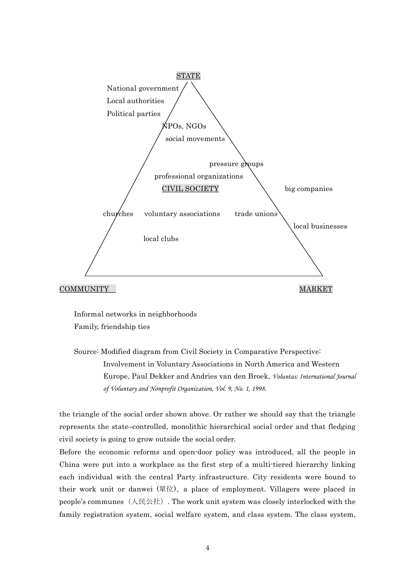

Informal networks in neighborhoods Family, friendship ties

Source: Modified diagram from Civil Society in Comparative Perspective: Involvement in Voluntary Associations in North America and Western Europe, Paul Dekker and Andries van den Broek, *Voluntas: International Journal of Voluntary and Nonprofit Organization, Vol. 9, No. 1, 1998.*

the triangle of the social order shown above. Or rather we should say that the triangle represents the state–controlled, monolithic hierarchical social order and that fledging civil society is going to grow outside the social order.

Before the economic reforms and open-door policy was introduced, all the people in China were put into a workplace as the first step of a multi-tiered hierarchy linking each individual with the central Party infrastructure. City residents were bound to their work unit or danwei (單位)、a place of employment. Villagers were placed in people's communes  $(\text{R\&\&\text{t})}$ . The work unit system was closely interlocked with the family registration system, social welfare system, and class system. The class system,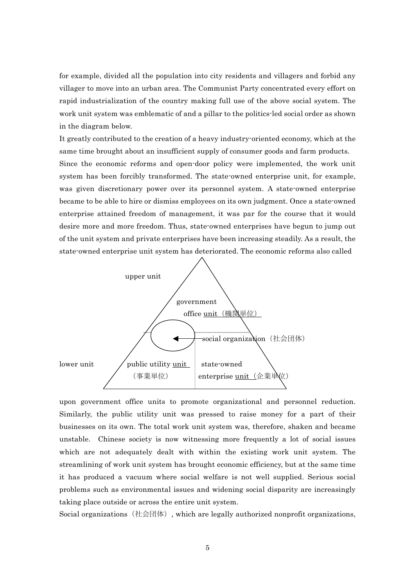for example, divided all the population into city residents and villagers and forbid any villager to move into an urban area. The Communist Party concentrated every effort on rapid industrialization of the country making full use of the above social system. The work unit system was emblematic of and a pillar to the politics-led social order as shown in the diagram below.

It greatly contributed to the creation of a heavy industry-oriented economy, which at the same time brought about an insufficient supply of consumer goods and farm products. Since the economic reforms and open-door policy were implemented, the work unit system has been forcibly transformed. The state-owned enterprise unit, for example, was given discretionary power over its personnel system. A state-owned enterprise became to be able to hire or dismiss employees on its own judgment. Once a state-owned enterprise attained freedom of management, it was par for the course that it would desire more and more freedom. Thus, state-owned enterprises have begun to jump out of the unit system and private enterprises have been increasing steadily. As a result, the state-owned enterprise unit system has deteriorated. The economic reforms also called



upon government office units to promote organizational and personnel reduction. Similarly, the public utility unit was pressed to raise money for a part of their businesses on its own. The total work unit system was, therefore, shaken and became unstable. Chinese society is now witnessing more frequently a lot of social issues which are not adequately dealt with within the existing work unit system. The streamlining of work unit system has brought economic efficiency, but at the same time it has produced a vacuum where social welfare is not well supplied. Serious social problems such as environmental issues and widening social disparity are increasingly taking place outside or across the entire unit system.

Social organizations  $(社@ \mathbb{H})$ , which are legally authorized nonprofit organizations,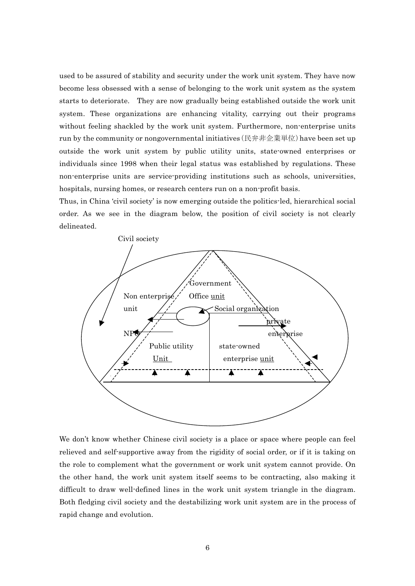used to be assured of stability and security under the work unit system. They have now become less obsessed with a sense of belonging to the work unit system as the system starts to deteriorate. They are now gradually being established outside the work unit system. These organizations are enhancing vitality, carrying out their programs without feeling shackled by the work unit system. Furthermore, non-enterprise units run by the community or nongovernmental initiatives(民弁非企業単位)have been set up outside the work unit system by public utility units, state-owned enterprises or individuals since 1998 when their legal status was established by regulations. These non-enterprise units are service-providing institutions such as schools, universities, hospitals, nursing homes, or research centers run on a non-profit basis.

Thus, in China 'civil society' is now emerging outside the politics-led, hierarchical social order. As we see in the diagram below, the position of civil society is not clearly delineated.



We don't know whether Chinese civil society is a place or space where people can feel relieved and self-supportive away from the rigidity of social order, or if it is taking on the role to complement what the government or work unit system cannot provide. On the other hand, the work unit system itself seems to be contracting, also making it difficult to draw well-defined lines in the work unit system triangle in the diagram. Both fledging civil society and the destabilizing work unit system are in the process of rapid change and evolution.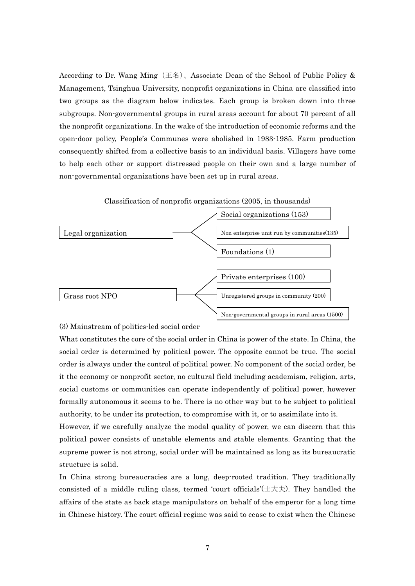According to Dr. Wang Ming  $(\pm \mathcal{A})$ , Associate Dean of the School of Public Policy & Management, Tsinghua University, nonprofit organizations in China are classified into two groups as the diagram below indicates. Each group is broken down into three subgroups. Non-governmental groups in rural areas account for about 70 percent of all the nonprofit organizations. In the wake of the introduction of economic reforms and the open-door policy, People's Communes were abolished in 1983-1985. Farm production consequently shifted from a collective basis to an individual basis. Villagers have come to help each other or support distressed people on their own and a large number of non-governmental organizations have been set up in rural areas.



(3) Mainstream of politics-led social order

What constitutes the core of the social order in China is power of the state. In China, the social order is determined by political power. The opposite cannot be true. The social order is always under the control of political power. No component of the social order, be it the economy or nonprofit sector, no cultural field including academism, religion, arts, social customs or communities can operate independently of political power, however formally autonomous it seems to be. There is no other way but to be subject to political authority, to be under its protection, to compromise with it, or to assimilate into it.

However, if we carefully analyze the modal quality of power, we can discern that this political power consists of unstable elements and stable elements. Granting that the supreme power is not strong, social order will be maintained as long as its bureaucratic structure is solid.

In China strong bureaucracies are a long, deep-rooted tradition. They traditionally consisted of a middle ruling class, termed 'court officials' $(\pm \pm \pm \cdot)$ . They handled the affairs of the state as back stage manipulators on behalf of the emperor for a long time in Chinese history. The court official regime was said to cease to exist when the Chinese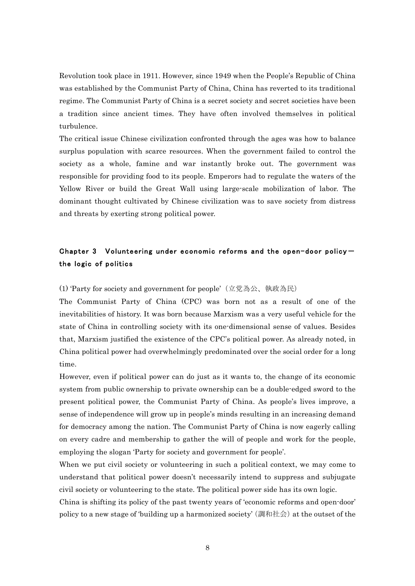Revolution took place in 1911. However, since 1949 when the People's Republic of China was established by the Communist Party of China, China has reverted to its traditional regime. The Communist Party of China is a secret society and secret societies have been a tradition since ancient times. They have often involved themselves in political turbulence.

The critical issue Chinese civilization confronted through the ages was how to balance surplus population with scarce resources. When the government failed to control the society as a whole, famine and war instantly broke out. The government was responsible for providing food to its people. Emperors had to regulate the waters of the Yellow River or build the Great Wall using large-scale mobilization of labor. The dominant thought cultivated by Chinese civilization was to save society from distress and threats by exerting strong political power.

# Chapter 3 Volunteering under economic reforms and the open-door policythe logic of politics

## (1) 'Party for society and government for people'(立党為公、執政為民)

The Communist Party of China (CPC) was born not as a result of one of the inevitabilities of history. It was born because Marxism was a very useful vehicle for the state of China in controlling society with its one-dimensional sense of values. Besides that, Marxism justified the existence of the CPC's political power. As already noted, in China political power had overwhelmingly predominated over the social order for a long time.

However, even if political power can do just as it wants to, the change of its economic system from public ownership to private ownership can be a double-edged sword to the present political power, the Communist Party of China. As people's lives improve, a sense of independence will grow up in people's minds resulting in an increasing demand for democracy among the nation. The Communist Party of China is now eagerly calling on every cadre and membership to gather the will of people and work for the people, employing the slogan 'Party for society and government for people'.

When we put civil society or volunteering in such a political context, we may come to understand that political power doesn't necessarily intend to suppress and subjugate civil society or volunteering to the state. The political power side has its own logic.

China is shifting its policy of the past twenty years of 'economic reforms and open-door' policy to a new stage of 'building up a harmonized society' (調和社会) at the outset of the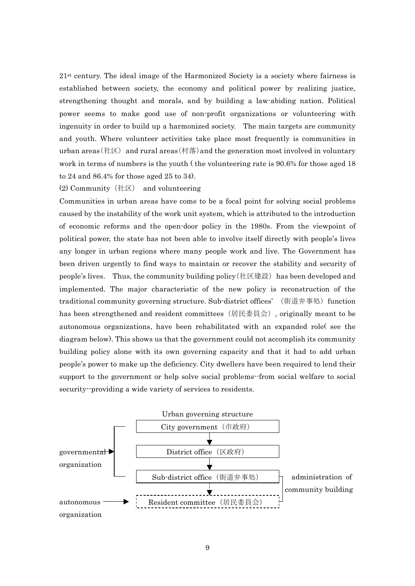$21<sup>st</sup>$  century. The ideal image of the Harmonized Society is a society where fairness is established between society, the economy and political power by realizing justice, strengthening thought and morals, and by building a law-abiding nation. Political power seems to make good use of non-profit organizations or volunteering with ingenuity in order to build up a harmonized society. The main targets are community and youth. Where volunteer activities take place most frequently is communities in urban areas(社区) and rural areas(村落) and the generation most involved in voluntary work in terms of numbers is the youth ( the volunteering rate is 90.6% for those aged 18 to 24 and 86.4% for those aged 25 to 34).

(2) Community (社区) and volunteering

Communities in urban areas have come to be a focal point for solving social problems caused by the instability of the work unit system, which is attributed to the introduction of economic reforms and the open-door policy in the 1980s. From the viewpoint of political power, the state has not been able to involve itself directly with people's lives any longer in urban regions where many people work and live. The Government has been driven urgently to find ways to maintain or recover the stability and security of people's lives. Thus, the community building policy (社区建設) has been developed and implemented. The major characteristic of the new policy is reconstruction of the traditional community governing structure. Sub-district offices' (街道弁事処) function has been strengthened and resident committees (居民委員会), originally meant to be autonomous organizations, have been rehabilitated with an expanded role( see the diagram below). This shows us that the government could not accomplish its community building policy alone with its own governing capacity and that it had to add urban people's power to make up the deficiency. City dwellers have been required to lend their support to the government or help solve social problems--from social welfare to social security--providing a wide variety of services to residents.

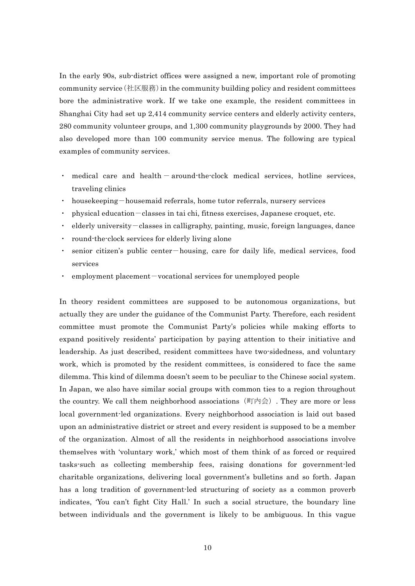In the early 90s, sub-district offices were assigned a new, important role of promoting community service  $(\pm \boxtimes \boxtimes \ddot{\textbf{R}})$  in the community building policy and resident committees bore the administrative work. If we take one example, the resident committees in Shanghai City had set up 2,414 community service centers and elderly activity centers, 280 community volunteer groups, and 1,300 community playgrounds by 2000. They had also developed more than 100 community service menus. The following are typical examples of community services.

- medical care and  $\text{health} \text{around-the-clock medical services}, \text{ hotline services}$ traveling clinics
- housekeeping-housemaid referrals, home tutor referrals, nursery services
- ・ physical education‐classes in tai chi, fitness exercises, Japanese croquet, etc.
- $\ell$  elderly university  $-\ell$  classes in calligraphy, painting, music, foreign languages, dance
- round-the-clock services for elderly living alone
- senior citizen's public center—housing, care for daily life, medical services, food services
- employment placement vocational services for unemployed people

In theory resident committees are supposed to be autonomous organizations, but actually they are under the guidance of the Communist Party. Therefore, each resident committee must promote the Communist Party's policies while making efforts to expand positively residents' participation by paying attention to their initiative and leadership. As just described, resident committees have two-sidedness, and voluntary work, which is promoted by the resident committees, is considered to face the same dilemma. This kind of dilemma doesn't seem to be peculiar to the Chinese social system. In Japan, we also have similar social groups with common ties to a region throughout the country. We call them neighborhood associations  $(\text{m}) \triangleq$ . They are more or less local government-led organizations. Every neighborhood association is laid out based upon an administrative district or street and every resident is supposed to be a member of the organization. Almost of all the residents in neighborhood associations involve themselves with 'voluntary work,' which most of them think of as forced or required tasks-such as collecting membership fees, raising donations for government-led charitable organizations, delivering local government's bulletins and so forth. Japan has a long tradition of government-led structuring of society as a common proverb indicates, 'You can't fight City Hall.' In such a social structure, the boundary line between individuals and the government is likely to be ambiguous. In this vague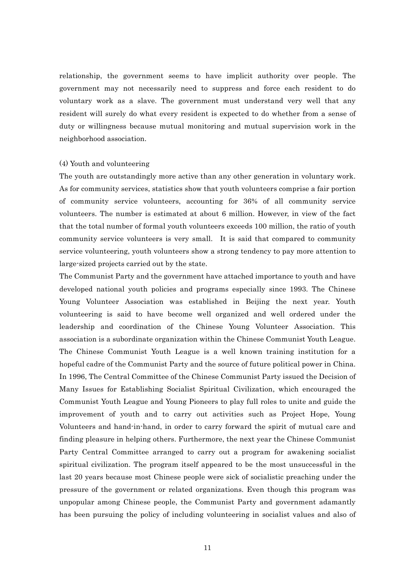relationship, the government seems to have implicit authority over people. The government may not necessarily need to suppress and force each resident to do voluntary work as a slave. The government must understand very well that any resident will surely do what every resident is expected to do whether from a sense of duty or willingness because mutual monitoring and mutual supervision work in the neighborhood association.

## (4) Youth and volunteering

The youth are outstandingly more active than any other generation in voluntary work. As for community services, statistics show that youth volunteers comprise a fair portion of community service volunteers, accounting for 36% of all community service volunteers. The number is estimated at about 6 million. However, in view of the fact that the total number of formal youth volunteers exceeds 100 million, the ratio of youth community service volunteers is very small. It is said that compared to community service volunteering, youth volunteers show a strong tendency to pay more attention to large-sized projects carried out by the state.

The Communist Party and the government have attached importance to youth and have developed national youth policies and programs especially since 1993. The Chinese Young Volunteer Association was established in Beijing the next year. Youth volunteering is said to have become well organized and well ordered under the leadership and coordination of the Chinese Young Volunteer Association. This association is a subordinate organization within the Chinese Communist Youth League. The Chinese Communist Youth League is a well known training institution for a hopeful cadre of the Communist Party and the source of future political power in China. In 1996, The Central Committee of the Chinese Communist Party issued the Decision of Many Issues for Establishing Socialist Spiritual Civilization, which encouraged the Communist Youth League and Young Pioneers to play full roles to unite and guide the improvement of youth and to carry out activities such as Project Hope, Young Volunteers and hand-in-hand, in order to carry forward the spirit of mutual care and finding pleasure in helping others. Furthermore, the next year the Chinese Communist Party Central Committee arranged to carry out a program for awakening socialist spiritual civilization. The program itself appeared to be the most unsuccessful in the last 20 years because most Chinese people were sick of socialistic preaching under the pressure of the government or related organizations. Even though this program was unpopular among Chinese people, the Communist Party and government adamantly has been pursuing the policy of including volunteering in socialist values and also of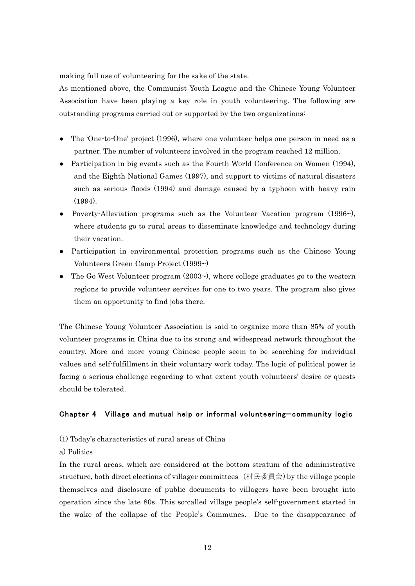making full use of volunteering for the sake of the state.

As mentioned above, the Communist Youth League and the Chinese Young Volunteer Association have been playing a key role in youth volunteering. The following are outstanding programs carried out or supported by the two organizations:

- The 'One-to-One' project  $(1996)$ , where one volunteer helps one person in need as a partner. The number of volunteers involved in the program reached 12 million.
- Participation in big events such as the Fourth World Conference on Women (1994), and the Eighth National Games (1997), and support to victims of natural disasters such as serious floods (1994) and damage caused by a typhoon with heavy rain (1994).
- Poverty-Alleviation programs such as the Volunteer Vacation program  $(1996\textdegree)$ , where students go to rural areas to disseminate knowledge and technology during their vacation.
- Participation in environmental protection programs such as the Chinese Young Volunteers Green Camp Project (1999~)
- The Go West Volunteer program  $(2003)$ , where college graduates go to the western regions to provide volunteer services for one to two years. The program also gives them an opportunity to find jobs there.

The Chinese Young Volunteer Association is said to organize more than 85% of youth volunteer programs in China due to its strong and widespread network throughout the country. More and more young Chinese people seem to be searching for individual values and self-fulfillment in their voluntary work today. The logic of political power is facing a serious challenge regarding to what extent youth volunteers' desire or quests should be tolerated.

## Chapter 4 Village and mutual help or informal volunteering̶community logic

- (1) Today's characteristics of rural areas of China
- a) Politics

In the rural areas, which are considered at the bottom stratum of the administrative structure, both direct elections of villager committees (村民委員会)by the village people themselves and disclosure of public documents to villagers have been brought into operation since the late 80s. This so-called village people's self-government started in the wake of the collapse of the People's Communes. Due to the disappearance of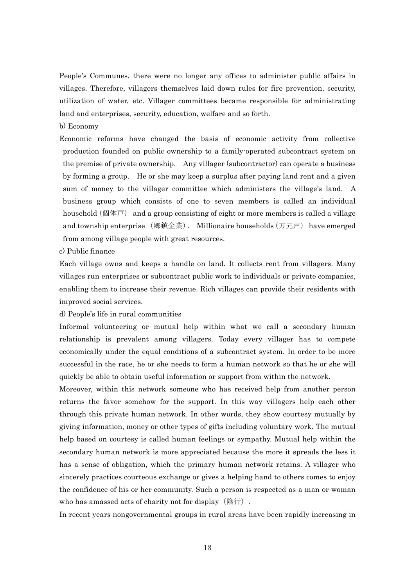People's Communes, there were no longer any offices to administer public affairs in villages. Therefore, villagers themselves laid down rules for fire prevention, security, utilization of water, etc. Villager committees became responsible for administrating land and enterprises, security, education, welfare and so forth.

## b) Economy

Economic reforms have changed the basis of economic activity from collective production founded on public ownership to a family-operated subcontract system on the premise of private ownership. Any villager (subcontractor) can operate a business by forming a group. He or she may keep a surplus after paying land rent and a given sum of money to the villager committee which administers the village's land. A business group which consists of one to seven members is called an individual household (個体戸) and a group consisting of eight or more members is called a village and township enterprise (郷鎮企業). Millionaire households (万元戸) have emerged from among village people with great resources.

c) Public finance

Each village owns and keeps a handle on land. It collects rent from villagers. Many villages run enterprises or subcontract public work to individuals or private companies, enabling them to increase their revenue. Rich villages can provide their residents with improved social services.

### d) People's life in rural communities

Informal volunteering or mutual help within what we call a secondary human relationship is prevalent among villagers. Today every villager has to compete economically under the equal conditions of a subcontract system. In order to be more successful in the race, he or she needs to form a human network so that he or she will quickly be able to obtain useful information or support from within the network.

Moreover, within this network someone who has received help from another person returns the favor somehow for the support. In this way villagers help each other through this private human network. In other words, they show courtesy mutually by giving information, money or other types of gifts including voluntary work. The mutual help based on courtesy is called human feelings or sympathy. Mutual help within the secondary human network is more appreciated because the more it spreads the less it has a sense of obligation, which the primary human network retains. A villager who sincerely practices courteous exchange or gives a helping hand to others comes to enjoy the confidence of his or her community. Such a person is respected as a man or woman who has amassed acts of charity not for display  $($ 陰行 $)$ .

In recent years nongovernmental groups in rural areas have been rapidly increasing in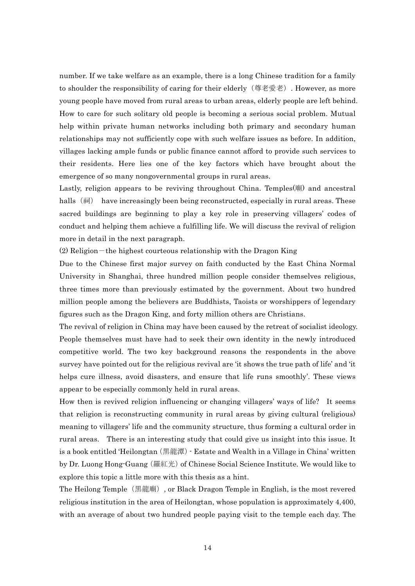number. If we take welfare as an example, there is a long Chinese tradition for a family to shoulder the responsibility of caring for their elderly (尊老愛老). However, as more young people have moved from rural areas to urban areas, elderly people are left behind. How to care for such solitary old people is becoming a serious social problem. Mutual help within private human networks including both primary and secondary human relationships may not sufficiently cope with such welfare issues as before. In addition, villages lacking ample funds or public finance cannot afford to provide such services to their residents. Here lies one of the key factors which have brought about the emergence of so many nongovernmental groups in rural areas.

Lastly, religion appears to be reviving throughout China. Temples(廟) and ancestral halls (祠) have increasingly been being reconstructed, especially in rural areas. These sacred buildings are beginning to play a key role in preserving villagers' codes of conduct and helping them achieve a fulfilling life. We will discuss the revival of religion more in detail in the next paragraph.

 $(2)$  Religion – the highest courteous relationship with the Dragon King

Due to the Chinese first major survey on faith conducted by the East China Normal University in Shanghai, three hundred million people consider themselves religious, three times more than previously estimated by the government. About two hundred million people among the believers are Buddhists, Taoists or worshippers of legendary figures such as the Dragon King, and forty million others are Christians.

The revival of religion in China may have been caused by the retreat of socialist ideology. People themselves must have had to seek their own identity in the newly introduced competitive world. The two key background reasons the respondents in the above survey have pointed out for the religious revival are 'it shows the true path of life' and 'it helps cure illness, avoid disasters, and ensure that life runs smoothly'. These views appear to be especially commonly held in rural areas.

How then is revived religion influencing or changing villagers' ways of life? It seems that religion is reconstructing community in rural areas by giving cultural (religious) meaning to villagers' life and the community structure, thus forming a cultural order in rural areas. There is an interesting study that could give us insight into this issue. It is a book entitled 'Heilongtan(黒龍潭)- Estate and Wealth in a Village in China' written by Dr. Luong Hong-Guang (羅紅光) of Chinese Social Science Institute. We would like to explore this topic a little more with this thesis as a hint.

The Heilong Temple(黒龍廟), or Black Dragon Temple in English, is the most revered religious institution in the area of Heilongtan, whose population is approximately 4,400, with an average of about two hundred people paying visit to the temple each day. The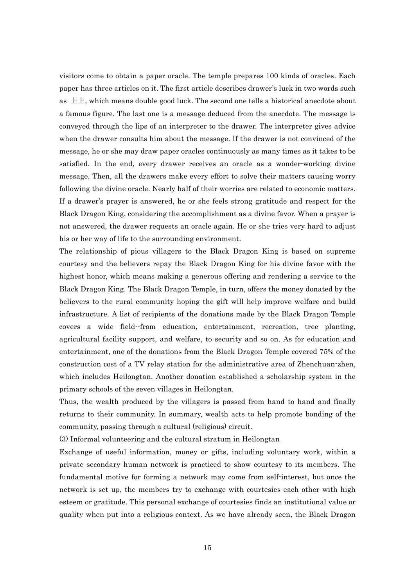visitors come to obtain a paper oracle. The temple prepares 100 kinds of oracles. Each paper has three articles on it. The first article describes drawer's luck in two words such as 上上, which means double good luck. The second one tells a historical anecdote about a famous figure. The last one is a message deduced from the anecdote. The message is conveyed through the lips of an interpreter to the drawer. The interpreter gives advice when the drawer consults him about the message. If the drawer is not convinced of the message, he or she may draw paper oracles continuously as many times as it takes to be satisfied. In the end, every drawer receives an oracle as a wonder-working divine message. Then, all the drawers make every effort to solve their matters causing worry following the divine oracle. Nearly half of their worries are related to economic matters. If a drawer's prayer is answered, he or she feels strong gratitude and respect for the Black Dragon King, considering the accomplishment as a divine favor. When a prayer is not answered, the drawer requests an oracle again. He or she tries very hard to adjust his or her way of life to the surrounding environment.

The relationship of pious villagers to the Black Dragon King is based on supreme courtesy and the believers repay the Black Dragon King for his divine favor with the highest honor, which means making a generous offering and rendering a service to the Black Dragon King. The Black Dragon Temple, in turn, offers the money donated by the believers to the rural community hoping the gift will help improve welfare and build infrastructure. A list of recipients of the donations made by the Black Dragon Temple covers a wide field--from education, entertainment, recreation, tree planting, agricultural facility support, and welfare, to security and so on. As for education and entertainment, one of the donations from the Black Dragon Temple covered 75% of the construction cost of a TV relay station for the administrative area of Zhenchuan-zhen, which includes Heilongtan. Another donation established a scholarship system in the primary schools of the seven villages in Heilongtan.

Thus, the wealth produced by the villagers is passed from hand to hand and finally returns to their community. In summary, wealth acts to help promote bonding of the community, passing through a cultural (religious) circuit.

(3) Informal volunteering and the cultural stratum in Heilongtan

Exchange of useful information, money or gifts, including voluntary work, within a private secondary human network is practiced to show courtesy to its members. The fundamental motive for forming a network may come from self-interest, but once the network is set up, the members try to exchange with courtesies each other with high esteem or gratitude. This personal exchange of courtesies finds an institutional value or quality when put into a religious context. As we have already seen, the Black Dragon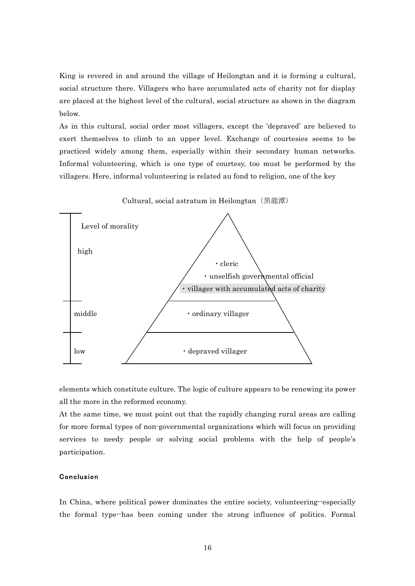King is revered in and around the village of Heilongtan and it is forming a cultural, social structure there. Villagers who have accumulated acts of charity not for display are placed at the highest level of the cultural, social structure as shown in the diagram below.

As in this cultural, social order most villagers, except the 'depraved' are believed to exert themselves to climb to an upper level. Exchange of courtesies seems to be practiced widely among them, especially within their secondary human networks. Informal volunteering, which is one type of courtesy, too must be performed by the villagers. Here, informal volunteering is related au fond to religion, one of the key



elements which constitute culture. The logic of culture appears to be renewing its power all the more in the reformed economy.

At the same time, we must point out that the rapidly changing rural areas are calling for more formal types of non-governmental organizations which will focus on providing services to needy people or solving social problems with the help of people's participation.

## Conclusion

In China, where political power dominates the entire society, volunteering--especially the formal type--has been coming under the strong influence of politics. Formal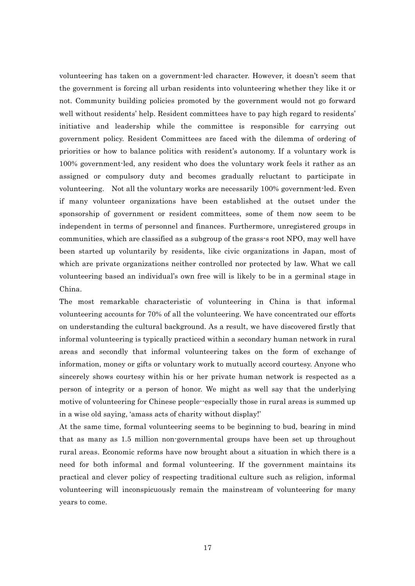volunteering has taken on a government-led character. However, it doesn't seem that the government is forcing all urban residents into volunteering whether they like it or not. Community building policies promoted by the government would not go forward well without residents' help. Resident committees have to pay high regard to residents' initiative and leadership while the committee is responsible for carrying out government policy. Resident Committees are faced with the dilemma of ordering of priorities or how to balance politics with resident's autonomy. If a voluntary work is 100% government-led, any resident who does the voluntary work feels it rather as an assigned or compulsory duty and becomes gradually reluctant to participate in volunteering. Not all the voluntary works are necessarily 100% government-led. Even if many volunteer organizations have been established at the outset under the sponsorship of government or resident committees, some of them now seem to be independent in terms of personnel and finances. Furthermore, unregistered groups in communities, which are classified as a subgroup of the grass-s root NPO, may well have been started up voluntarily by residents, like civic organizations in Japan, most of which are private organizations neither controlled nor protected by law. What we call volunteering based an individual's own free will is likely to be in a germinal stage in China.

The most remarkable characteristic of volunteering in China is that informal volunteering accounts for 70% of all the volunteering. We have concentrated our efforts on understanding the cultural background. As a result, we have discovered firstly that informal volunteering is typically practiced within a secondary human network in rural areas and secondly that informal volunteering takes on the form of exchange of information, money or gifts or voluntary work to mutually accord courtesy. Anyone who sincerely shows courtesy within his or her private human network is respected as a person of integrity or a person of honor. We might as well say that the underlying motive of volunteering for Chinese people--especially those in rural areas is summed up in a wise old saying, 'amass acts of charity without display!'

At the same time, formal volunteering seems to be beginning to bud, bearing in mind that as many as 1.5 million non-governmental groups have been set up throughout rural areas. Economic reforms have now brought about a situation in which there is a need for both informal and formal volunteering. If the government maintains its practical and clever policy of respecting traditional culture such as religion, informal volunteering will inconspicuously remain the mainstream of volunteering for many years to come.